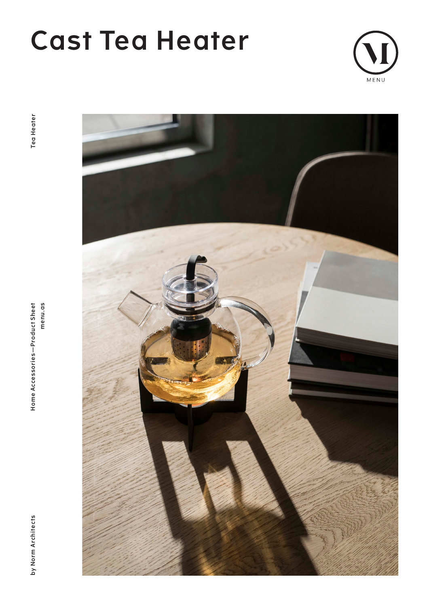# **Cast Tea Heater**



**by Norm Architects Home Accessories—Product Sheet menu.as Tea Heater**menu.as Home Accessories-Product Sheet



by Norm Architects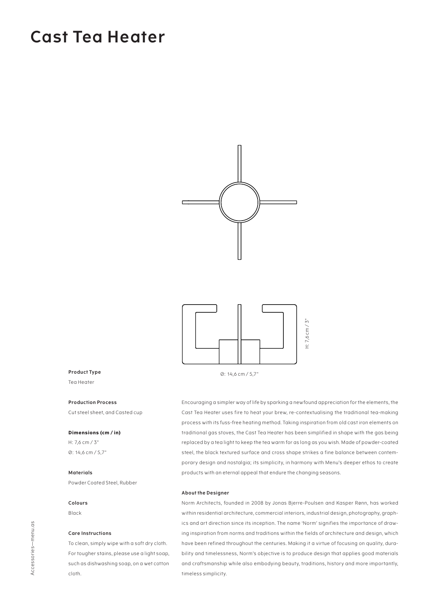### **Cast Tea Heater**



#### **Product Type**

Tea Heater

#### **Production Process**

Cut steel sheet, and Casted cup

#### **Dimensions (cm / in)**

H: 7,6 cm / 3" Ø: 14,6 cm / 5,7"

#### **Materials**

Powder Coated Steel, Rubber

#### **Colours**

Black

#### **Care Instructions**

To clean, simply wipe with a soft dry cloth. For tougher stains, please use a light soap, such as dishwashing soap, on a wet cotton cloth.

Ø: 14,6 cm / 5,7"

Encouraging a simpler way of life by sparking a newfound appreciation for the elements, the Cast Tea Heater uses fire to heat your brew, re-contextualising the traditional tea-making process with its fuss-free heating method. Taking inspiration from old cast iron elements on traditional gas stoves, the Cast Tea Heater has been simplified in shape with the gas being replaced by a tea light to keep the tea warm for as long as you wish. Made of powder-coated steel, the black textured surface and cross shape strikes a fine balance between contemporary design and nostalgia; its simplicity, in harmony with Menu's deeper ethos to create products with an eternal appeal that endure the changing seasons.

#### **About the Designer**

Norm Architects, founded in 2008 by Jonas Bjerre-Poulsen and Kasper Rønn, has worked within residential architecture, commercial interiors, industrial design, photography, graphics and art direction since its inception. The name 'Norm' signifies the importance of drawing inspiration from norms and traditions within the fields of architecture and design, which have been refined throughout the centuries. Making it a virtue of focusing on quality, durability and timelessness, Norm's objective is to produce design that applies good materials and craftsmanship while also embodying beauty, traditions, history and more importantly, timeless simplicity.